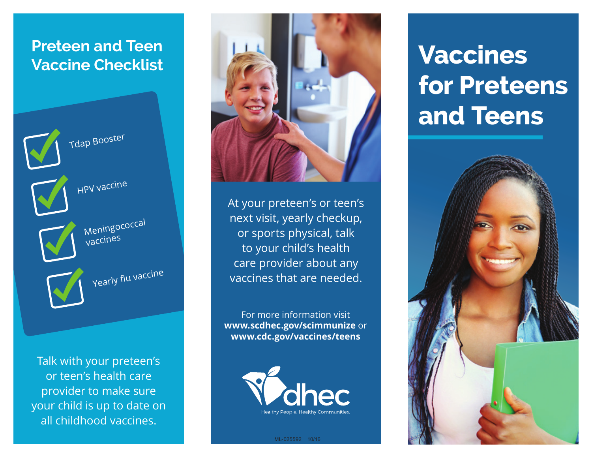## **Preteen and Teen Vaccine Checklist**



Tdap Booster



HPV vaccine



Meningococca<sup>l</sup> vaccines



Yearly flu vaccine

Talk with your preteen's or teen's health care provider to make sure your child is up to date on all childhood vaccines.



At your preteen's or teen's next visit, yearly checkup, or sports physical, talk to your child's health care provider about any vaccines that are needed.

For more information visit **www.scdhec.gov/scimmunize** or **www.cdc.gov/vaccines/teens**



# **Vaccines for Preteens and Teens**